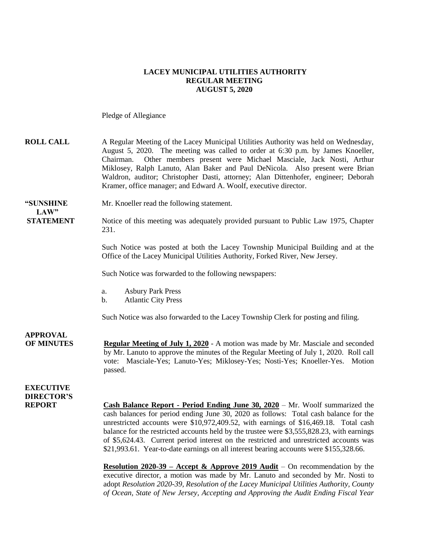#### **LACEY MUNICIPAL UTILITIES AUTHORITY REGULAR MEETING AUGUST 5, 2020**

Pledge of Allegiance

| <b>ROLL CALL</b>                      | A Regular Meeting of the Lacey Municipal Utilities Authority was held on Wednesday,<br>August 5, 2020. The meeting was called to order at 6:30 p.m. by James Knoeller,<br>Other members present were Michael Masciale, Jack Nosti, Arthur<br>Chairman.<br>Miklosey, Ralph Lanuto, Alan Baker and Paul DeNicola. Also present were Brian<br>Waldron, auditor; Christopher Dasti, attorney; Alan Dittenhofer, engineer; Deborah<br>Kramer, office manager; and Edward A. Woolf, executive director.                                                                                                                                               |
|---------------------------------------|-------------------------------------------------------------------------------------------------------------------------------------------------------------------------------------------------------------------------------------------------------------------------------------------------------------------------------------------------------------------------------------------------------------------------------------------------------------------------------------------------------------------------------------------------------------------------------------------------------------------------------------------------|
| "SUNSHINE<br>LAW"                     | Mr. Knoeller read the following statement.                                                                                                                                                                                                                                                                                                                                                                                                                                                                                                                                                                                                      |
| <b>STATEMENT</b>                      | Notice of this meeting was adequately provided pursuant to Public Law 1975, Chapter<br>231.                                                                                                                                                                                                                                                                                                                                                                                                                                                                                                                                                     |
|                                       | Such Notice was posted at both the Lacey Township Municipal Building and at the<br>Office of the Lacey Municipal Utilities Authority, Forked River, New Jersey.                                                                                                                                                                                                                                                                                                                                                                                                                                                                                 |
|                                       | Such Notice was forwarded to the following newspapers:                                                                                                                                                                                                                                                                                                                                                                                                                                                                                                                                                                                          |
|                                       | <b>Asbury Park Press</b><br>a.<br><b>Atlantic City Press</b><br>$\mathbf b$ .                                                                                                                                                                                                                                                                                                                                                                                                                                                                                                                                                                   |
|                                       | Such Notice was also forwarded to the Lacey Township Clerk for posting and filing.                                                                                                                                                                                                                                                                                                                                                                                                                                                                                                                                                              |
| <b>APPROVAL</b><br><b>OF MINUTES</b>  | <b>Regular Meeting of July 1, 2020</b> - A motion was made by Mr. Masciale and seconded<br>by Mr. Lanuto to approve the minutes of the Regular Meeting of July 1, 2020. Roll call<br>vote: Masciale-Yes; Lanuto-Yes; Miklosey-Yes; Nosti-Yes; Knoeller-Yes. Motion<br>passed.                                                                                                                                                                                                                                                                                                                                                                   |
| <b>EXECUTIVE</b><br><b>DIRECTOR'S</b> |                                                                                                                                                                                                                                                                                                                                                                                                                                                                                                                                                                                                                                                 |
| <b>REPORT</b>                         | <b>Cash Balance Report - Period Ending June 30, 2020</b> – Mr. Woolf summarized the<br>cash balances for period ending June 30, 2020 as follows: Total cash balance for the<br>unrestricted accounts were \$10,972,409.52, with earnings of \$16,469.18. Total cash<br>balance for the restricted accounts held by the trustee were \$3,555,828.23, with earnings<br>of \$5,624.43. Current period interest on the restricted and unrestricted accounts was<br>\$21,993.61. Year-to-date earnings on all interest bearing accounts were \$155,328.66.<br><b>Resolution 2020-39 – Accept &amp; Approve 2019 Audit</b> – On recommendation by the |
|                                       | executive director, a motion was made by Mr. Lanuto and seconded by Mr. Nosti to<br>adopt Resolution 2020-39, Resolution of the Lacey Municipal Utilities Authority, County<br>of Ocean, State of New Jersey, Accepting and Approving the Audit Ending Fiscal Year                                                                                                                                                                                                                                                                                                                                                                              |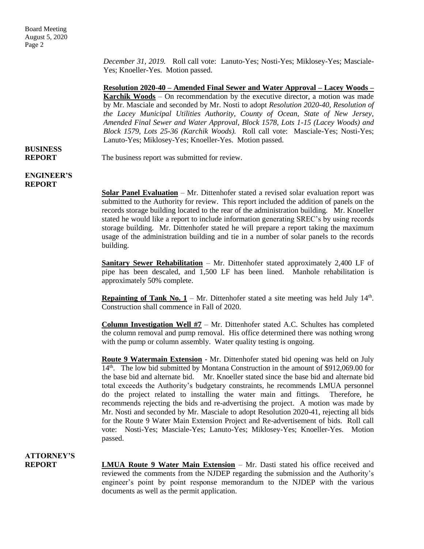*December 31, 2019.* Roll call vote: Lanuto-Yes; Nosti-Yes; Miklosey-Yes; Masciale-Yes; Knoeller-Yes. Motion passed.

**Resolution 2020-40 – Amended Final Sewer and Water Approval – Lacey Woods – Karchik Woods** – On recommendation by the executive director, a motion was made by Mr. Masciale and seconded by Mr. Nosti to adopt *Resolution 2020-40, Resolution of the Lacey Municipal Utilities Authority, County of Ocean, State of New Jersey, Amended Final Sewer and Water Approval, Block 1578, Lots 1-15 (Lacey Woods) and Block 1579, Lots 25-36 (Karchik Woods).* Roll call vote: Masciale-Yes; Nosti-Yes; Lanuto-Yes; Miklosey-Yes; Knoeller-Yes. Motion passed.

#### **REPORT** The business report was submitted for review.

**BUSINESS**

**ENGINEER'S REPORT**

> **Solar Panel Evaluation** – Mr. Dittenhofer stated a revised solar evaluation report was submitted to the Authority for review. This report included the addition of panels on the records storage building located to the rear of the administration building. Mr. Knoeller stated he would like a report to include information generating SREC's by using records storage building. Mr. Dittenhofer stated he will prepare a report taking the maximum usage of the administration building and tie in a number of solar panels to the records building.

> **Sanitary Sewer Rehabilitation** – Mr. Dittenhofer stated approximately 2,400 LF of pipe has been descaled, and 1,500 LF has been lined. Manhole rehabilitation is approximately 50% complete.

> **Repainting of Tank No. 1** – Mr. Dittenhofer stated a site meeting was held July  $14<sup>th</sup>$ . Construction shall commence in Fall of 2020.

> **Column Investigation Well #7** – Mr. Dittenhofer stated A.C. Schultes has completed the column removal and pump removal. His office determined there was nothing wrong with the pump or column assembly. Water quality testing is ongoing.

> **Route 9 Watermain Extension** - Mr. Dittenhofer stated bid opening was held on July 14th. The low bid submitted by Montana Construction in the amount of \$912,069.00 for the base bid and alternate bid. Mr. Knoeller stated since the base bid and alternate bid total exceeds the Authority's budgetary constraints, he recommends LMUA personnel do the project related to installing the water main and fittings. Therefore, he recommends rejecting the bids and re-advertising the project. A motion was made by Mr. Nosti and seconded by Mr. Masciale to adopt Resolution 2020-41, rejecting all bids for the Route 9 Water Main Extension Project and Re-advertisement of bids. Roll call vote: Nosti-Yes; Masciale-Yes; Lanuto-Yes; Miklosey-Yes; Knoeller-Yes. Motion passed.

# **ATTORNEY'S**

**REPORT LMUA Route 9 Water Main Extension** – Mr. Dasti stated his office received and reviewed the comments from the NJDEP regarding the submission and the Authority's engineer's point by point response memorandum to the NJDEP with the various documents as well as the permit application.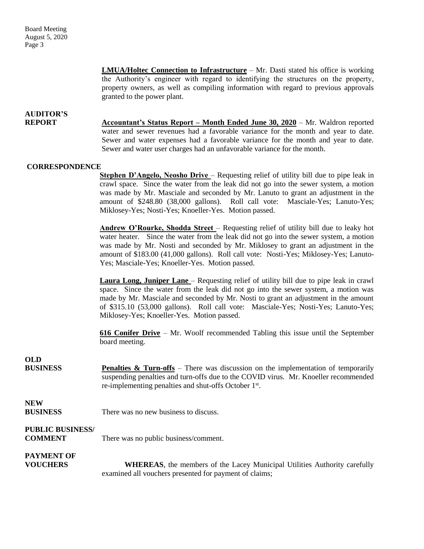**LMUA/Holtec Connection to Infrastructure** – Mr. Dasti stated his office is working the Authority's engineer with regard to identifying the structures on the property, property owners, as well as compiling information with regard to previous approvals granted to the power plant.

## **AUDITOR'S**

**REPORT Accountant's Status Report – Month Ended June 30, 2020** – Mr. Waldron reported water and sewer revenues had a favorable variance for the month and year to date. Sewer and water expenses had a favorable variance for the month and year to date. Sewer and water user charges had an unfavorable variance for the month.

### **CORRESPONDENCE**

**Stephen D'Angelo, Neosho Drive** – Requesting relief of utility bill due to pipe leak in crawl space. Since the water from the leak did not go into the sewer system, a motion was made by Mr. Masciale and seconded by Mr. Lanuto to grant an adjustment in the amount of \$248.80 (38,000 gallons). Roll call vote: Masciale-Yes; Lanuto-Yes; Miklosey-Yes; Nosti-Yes; Knoeller-Yes. Motion passed.

**Andrew O'Rourke, Shodda Street** – Requesting relief of utility bill due to leaky hot water heater. Since the water from the leak did not go into the sewer system, a motion was made by Mr. Nosti and seconded by Mr. Miklosey to grant an adjustment in the amount of \$183.00 (41,000 gallons). Roll call vote: Nosti-Yes; Miklosey-Yes; Lanuto-Yes; Masciale-Yes; Knoeller-Yes. Motion passed.

**Laura Long, Juniper Lane** – Requesting relief of utility bill due to pipe leak in crawl space. Since the water from the leak did not go into the sewer system, a motion was made by Mr. Masciale and seconded by Mr. Nosti to grant an adjustment in the amount of \$315.10 (53,000 gallons). Roll call vote: Masciale-Yes; Nosti-Yes; Lanuto-Yes; Miklosey-Yes; Knoeller-Yes. Motion passed.

**616 Conifer Drive** – Mr. Woolf recommended Tabling this issue until the September board meeting.

**OLD**

**BUSINESS Penalties & Turn-offs** – There was discussion on the implementation of temporarily suspending penalties and turn-offs due to the COVID virus. Mr. Knoeller recommended re-implementing penalties and shut-offs October 1<sup>st</sup>.

**NEW**

**BUSINESS** There was no new business to discuss.

## **PUBLIC BUSINESS/**

**COMMENT** There was no public business/comment.

## **PAYMENT OF**

**VOUCHERS WHEREAS**, the members of the Lacey Municipal Utilities Authority carefully examined all vouchers presented for payment of claims;